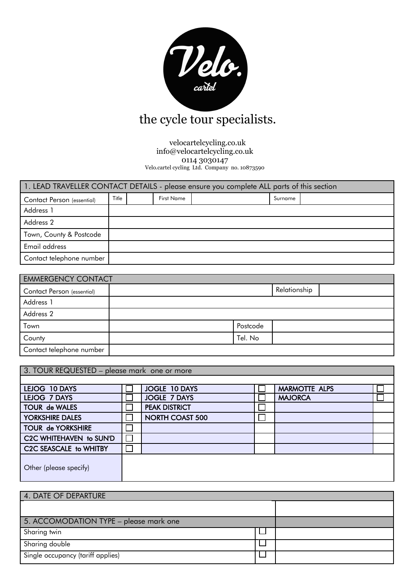

# the cycle tour specialists.

 velocartelcycling.co.uk info@velocartelcycling.co.uk 0114 3030147 Velo.cartel cycling Ltd. Company no. 10873590

| 1. LEAD TRAVELLER CONTACT DETAILS - please ensure you complete ALL parts of this section |       |            |         |  |
|------------------------------------------------------------------------------------------|-------|------------|---------|--|
| Contact Person (essential)                                                               | Title | First Name | Surname |  |
| Address 1                                                                                |       |            |         |  |
| Address 2                                                                                |       |            |         |  |
| Town, County & Postcode                                                                  |       |            |         |  |
| Email address                                                                            |       |            |         |  |
| Contact telephone number                                                                 |       |            |         |  |

| <b>EMMERGENCY CONTACT</b>  |          |              |  |
|----------------------------|----------|--------------|--|
| Contact Person (essential) |          | Relationship |  |
| Address 1                  |          |              |  |
| Address 2                  |          |              |  |
| Town                       | Postcode |              |  |
| County                     | Tel. No  |              |  |
| Contact telephone number   |          |              |  |

| 3. TOUR REQUESTED - please mark one or more |  |                        |  |                      |  |
|---------------------------------------------|--|------------------------|--|----------------------|--|
|                                             |  |                        |  |                      |  |
| LEJOG 10 DAYS                               |  | JOGLE 10 DAYS          |  | <b>MARMOTTE ALPS</b> |  |
| LEJOG 7 DAYS                                |  | <b>JOGLE 7 DAYS</b>    |  | <b>MAJORCA</b>       |  |
| <b>TOUR de WALES</b>                        |  | <b>PEAK DISTRICT</b>   |  |                      |  |
| YORKSHIRE DALES                             |  | <b>NORTH COAST 500</b> |  |                      |  |
| <b>TOUR de YORKSHIRE</b>                    |  |                        |  |                      |  |
| C2C WHITEHAVEN to SUN'D                     |  |                        |  |                      |  |
| C2C SEASCALE to WHITBY                      |  |                        |  |                      |  |
| Other (please specify)                      |  |                        |  |                      |  |

| 4. DATE OF DEPARTURE                   |  |
|----------------------------------------|--|
|                                        |  |
| 5. ACCOMODATION TYPE - please mark one |  |
| Sharing twin                           |  |
| Sharing double                         |  |
| Single occupancy (tariff applies)      |  |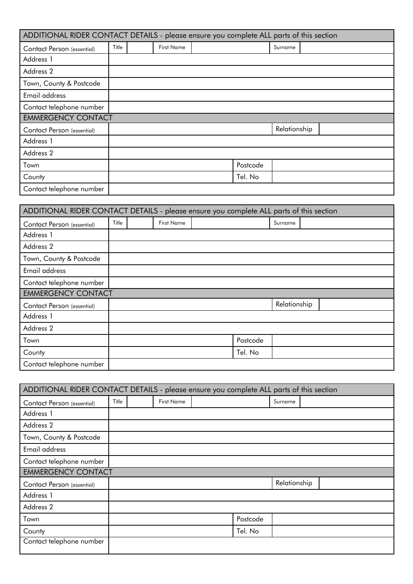| ADDITIONAL RIDER CONTACT DETAILS - please ensure you complete ALL parts of this section |       |                   |          |              |  |  |
|-----------------------------------------------------------------------------------------|-------|-------------------|----------|--------------|--|--|
| Contact Person (essential)                                                              | Title | <b>First Name</b> |          | Surname      |  |  |
| Address 1                                                                               |       |                   |          |              |  |  |
| Address 2                                                                               |       |                   |          |              |  |  |
| Town, County & Postcode                                                                 |       |                   |          |              |  |  |
| Email address                                                                           |       |                   |          |              |  |  |
| Contact telephone number                                                                |       |                   |          |              |  |  |
| <b>EMMERGENCY CONTACT</b>                                                               |       |                   |          |              |  |  |
| Contact Person (essential)                                                              |       |                   |          | Relationship |  |  |
| Address 1                                                                               |       |                   |          |              |  |  |
| Address 2                                                                               |       |                   |          |              |  |  |
| Town                                                                                    |       |                   | Postcode |              |  |  |
| County                                                                                  |       |                   | Tel. No  |              |  |  |
| Contact telephone number                                                                |       |                   |          |              |  |  |

| ADDITIONAL RIDER CONTACT DETAILS - please ensure you complete ALL parts of this section |       |                   |          |              |
|-----------------------------------------------------------------------------------------|-------|-------------------|----------|--------------|
| Contact Person (essential)                                                              | Title | <b>First Name</b> |          | Surname      |
| Address 1                                                                               |       |                   |          |              |
| Address 2                                                                               |       |                   |          |              |
| Town, County & Postcode                                                                 |       |                   |          |              |
| Email address                                                                           |       |                   |          |              |
| Contact telephone number                                                                |       |                   |          |              |
| <b>EMMERGENCY CONTACT</b>                                                               |       |                   |          |              |
| Contact Person (essential)                                                              |       |                   |          | Relationship |
| Address 1                                                                               |       |                   |          |              |
| Address 2                                                                               |       |                   |          |              |
| Town                                                                                    |       |                   | Postcode |              |
| County                                                                                  |       |                   | Tel. No  |              |
| Contact telephone number                                                                |       |                   |          |              |

| ADDITIONAL RIDER CONTACT DETAILS - please ensure you complete ALL parts of this section |       |                   |          |              |  |  |
|-----------------------------------------------------------------------------------------|-------|-------------------|----------|--------------|--|--|
| Contact Person (essential)                                                              | Title | <b>First Name</b> |          | Surname      |  |  |
| Address 1                                                                               |       |                   |          |              |  |  |
| Address 2                                                                               |       |                   |          |              |  |  |
| Town, County & Postcode                                                                 |       |                   |          |              |  |  |
| Email address                                                                           |       |                   |          |              |  |  |
| Contact telephone number                                                                |       |                   |          |              |  |  |
| <b>EMMERGENCY CONTACT</b>                                                               |       |                   |          |              |  |  |
| Contact Person (essential)                                                              |       |                   |          | Relationship |  |  |
| Address 1                                                                               |       |                   |          |              |  |  |
| Address 2                                                                               |       |                   |          |              |  |  |
| Town                                                                                    |       |                   | Postcode |              |  |  |
| County                                                                                  |       |                   | Tel. No  |              |  |  |
| Contact telephone number                                                                |       |                   |          |              |  |  |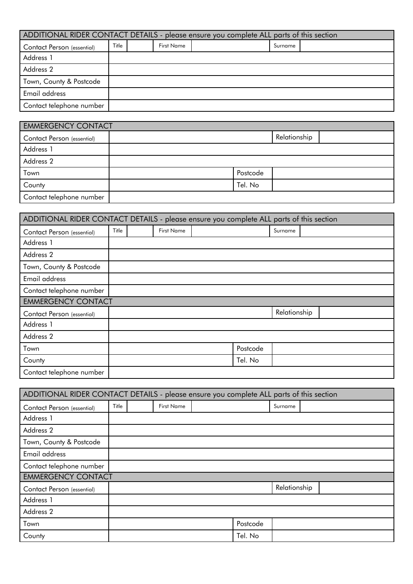| ADDITIONAL RIDER CONTACT DETAILS - please ensure you complete ALL parts of this section |       |            |         |  |
|-----------------------------------------------------------------------------------------|-------|------------|---------|--|
| Contact Person (essential)                                                              | Title | First Name | Surname |  |
| Address 1                                                                               |       |            |         |  |
| Address 2                                                                               |       |            |         |  |
| Town, County & Postcode                                                                 |       |            |         |  |
| Email address                                                                           |       |            |         |  |
| Contact telephone number                                                                |       |            |         |  |

| <b>EMMERGENCY CONTACT</b>         |          |              |  |
|-----------------------------------|----------|--------------|--|
| <b>Contact Person (essential)</b> |          | Relationship |  |
| Address 1                         |          |              |  |
| Address 2                         |          |              |  |
| Town                              | Postcode |              |  |
| County                            | Tel. No  |              |  |
| Contact telephone number          |          |              |  |

| ADDITIONAL RIDER CONTACT DETAILS - please ensure you complete ALL parts of this section |       |                   |          |              |  |  |
|-----------------------------------------------------------------------------------------|-------|-------------------|----------|--------------|--|--|
| Contact Person (essential)                                                              | Title | <b>First Name</b> |          | Surname      |  |  |
| Address 1                                                                               |       |                   |          |              |  |  |
| Address 2                                                                               |       |                   |          |              |  |  |
| Town, County & Postcode                                                                 |       |                   |          |              |  |  |
| Email address                                                                           |       |                   |          |              |  |  |
| Contact telephone number                                                                |       |                   |          |              |  |  |
| <b>EMMERGENCY CONTACT</b>                                                               |       |                   |          |              |  |  |
| Contact Person (essential)                                                              |       |                   |          | Relationship |  |  |
| Address 1                                                                               |       |                   |          |              |  |  |
| Address 2                                                                               |       |                   |          |              |  |  |
| Town                                                                                    |       |                   | Postcode |              |  |  |
| County                                                                                  |       |                   | Tel. No  |              |  |  |
| Contact telephone number                                                                |       |                   |          |              |  |  |

| ADDITIONAL RIDER CONTACT DETAILS - please ensure you complete ALL parts of this section |       |                   |          |              |  |
|-----------------------------------------------------------------------------------------|-------|-------------------|----------|--------------|--|
| Contact Person (essential)                                                              | Title | <b>First Name</b> |          | Surname      |  |
| Address 1                                                                               |       |                   |          |              |  |
| Address 2                                                                               |       |                   |          |              |  |
| Town, County & Postcode                                                                 |       |                   |          |              |  |
| Email address                                                                           |       |                   |          |              |  |
| Contact telephone number                                                                |       |                   |          |              |  |
| <b>EMMERGENCY CONTACT</b>                                                               |       |                   |          |              |  |
| Contact Person (essential)                                                              |       |                   |          | Relationship |  |
| Address 1                                                                               |       |                   |          |              |  |
| Address 2                                                                               |       |                   |          |              |  |
| Town                                                                                    |       |                   | Postcode |              |  |
| County                                                                                  |       |                   | Tel. No  |              |  |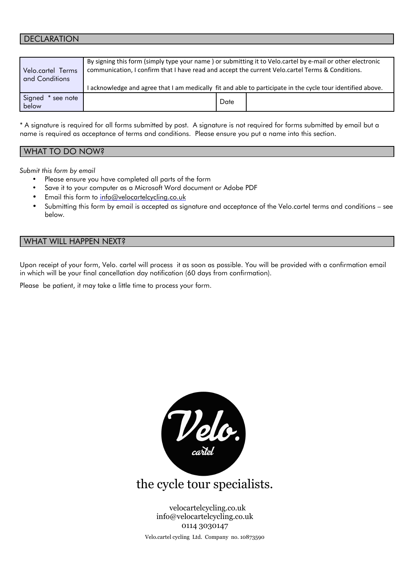## DECLARATION

| Velo.cartel Terms<br>and Conditions | By signing this form (simply type your name) or submitting it to Velo.cartel by e-mail or other electronic<br>communication, I confirm that I have read and accept the current Velo.cartel Terms & Conditions. |
|-------------------------------------|----------------------------------------------------------------------------------------------------------------------------------------------------------------------------------------------------------------|
|                                     | I acknowledge and agree that I am medically fit and able to participate in the cycle tour identified above.                                                                                                    |
| Signed<br>* see note<br>below       | Date                                                                                                                                                                                                           |

\* A signature is required for all forms submitted by post. A signature is not required for forms submitted by email but a name is required as acceptance of terms and conditions. Please ensure you put a name into this section.

| WHAT TO DO NOW? |  |  |
|-----------------|--|--|
|                 |  |  |

*Submit this form by email*

- Please ensure you have completed all parts of the form
- Save it to your computer as a Microsoft Word document or Adobe PDF
- Email this form to info@velocartelcycling.co.uk
- Submitting this form by email is accepted as signature and acceptance of the Velo.cartel terms and conditions see below.

### WHAT WILL HAPPEN NEXT?

Upon receipt of your form, Velo. cartel will process it as soon as possible. You will be provided with a confirmation email in which will be your final cancellation day notification (60 days from confirmation).

Please be patient, it may take a little time to process your form.



## the cycle tour specialists.

 velocartelcycling.co.uk info@velocartelcycling.co.uk 0114 3030147 Velo.cartel cycling Ltd. Company no. 10873590